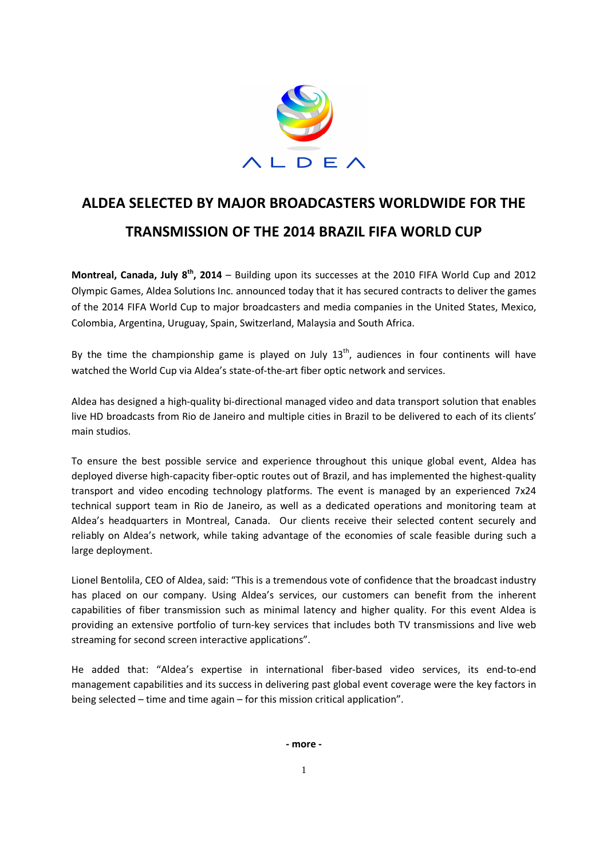

## **ALDEA SELECTED BY MAJOR BROADCASTERS WORLDWIDE FOR THE TRANSMISSION OF THE 2014 BRAZIL FIFA WORLD CUP**

**Montreal, Canada, July 8th, 2014** – Building upon its successes at the 2010 FIFA World Cup and 2012 Olympic Games, Aldea Solutions Inc. announced today that it has secured contracts to deliver the games of the 2014 FIFA World Cup to major broadcasters and media companies in the United States, Mexico, Colombia, Argentina, Uruguay, Spain, Switzerland, Malaysia and South Africa.

By the time the championship game is played on July  $13<sup>th</sup>$ , audiences in four continents will have watched the World Cup via Aldea's state-of-the-art fiber optic network and services.

Aldea has designed a high-quality bi-directional managed video and data transport solution that enables live HD broadcasts from Rio de Janeiro and multiple cities in Brazil to be delivered to each of its clients' main studios.

To ensure the best possible service and experience throughout this unique global event, Aldea has deployed diverse high-capacity fiber-optic routes out of Brazil, and has implemented the highest-quality transport and video encoding technology platforms. The event is managed by an experienced 7x24 technical support team in Rio de Janeiro, as well as a dedicated operations and monitoring team at Aldea's headquarters in Montreal, Canada. Our clients receive their selected content securely and reliably on Aldea's network, while taking advantage of the economies of scale feasible during such a large deployment.

Lionel Bentolila, CEO of Aldea, said: "This is a tremendous vote of confidence that the broadcast industry has placed on our company. Using Aldea's services, our customers can benefit from the inherent capabilities of fiber transmission such as minimal latency and higher quality. For this event Aldea is providing an extensive portfolio of turn-key services that includes both TV transmissions and live web streaming for second screen interactive applications".

He added that: "Aldea's expertise in international fiber-based video services, its end-to-end management capabilities and its success in delivering past global event coverage were the key factors in being selected – time and time again – for this mission critical application".

**- more -**